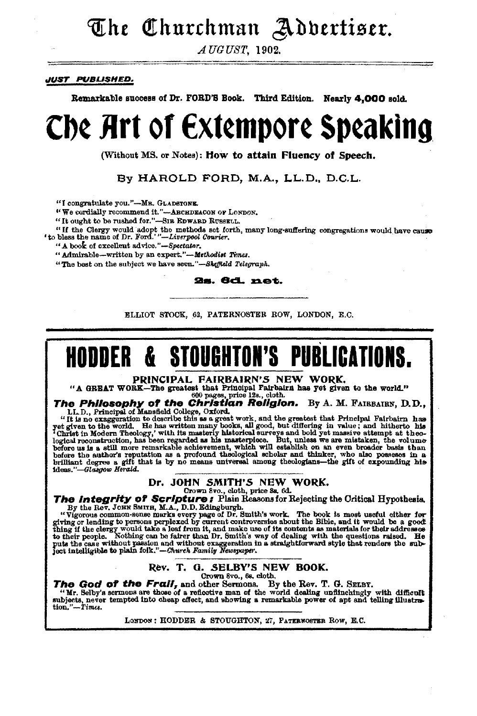# The Churchman Adbertiser.

AUGUST, 1902.

#### **JUST PUBLISHED.**

Remarkable success of Dr. FORD'S Book. Third Edition. Nearly 4.000 sold.

# Che Art of Extempore Speaking

(Without MS, or Notes): How to attain Fluency of Speech.

By HAROLD FORD, M.A., LL.D., D.C.L.

"I congratulate you."-MR. GLADSTONE.

"We cordially recommend it."-ARCHDEACON OF LONDON.

"It ought to be rushed for."-SIR EDWARD RUSSELL.

"If the Clergy would adopt the methods set forth, many long-suffering congregations would have cause to bless the name of Dr. Ford.'"-Liverpool Courier.

"A book of excellent advice."-Spectator.

"Admirable-written by an expert."-Methodist Times.

"The best on the subject we have seen."-Sheffield Telegraph,

2s. 6d. net.

ELLIOT STOCK, 62, PATERNOSTER ROW, LONDON, E.C.

#### **STOUGHTON'S PUBLICATIONS.** HODDER &.

PRINCIPAL FAIRBAIRN'S NEW WORK.

**PRINCIPAL FAIRBAIRN'S NEW WORK.**<br>
"A GREAT WORK—The greatest that Principal Fairbairn has yet given to the world."<br>
The Philosophy of the COI page, price 12a, doth.<br>
The Philosophy of the Christian Religion. By A. M. FAI

## Dr. JOHN SMITH'S NEW WORK.

Dr. JOHN SMITH'S NEW WORK.<br>
The Integrity of Scripture is chosen to check the price of the properties of the Rev. John Reasons for Rejecting the Oritical Hypothesis,<br>
By the Rev. John SMITH, M.A., D.D. Edingburgh.<br>
"Vigor

#### Rev. T. G. SELBY'S NEW BOOK. Crown 8vo., 6s. cloth.

The God of the Frail, and other Sermons. By the Rev. T. G. SELBY.

"Mr. Selby's sermons are those of a reflective man of the world dealing unfilnchingly with difficult subjects, never tempted into cheap effect, and showing a remarkable power of apt and telling illustration."-Times.

LONDON: HODDER & STOUGHTON, 27, PATERNOSTER ROW, E.C.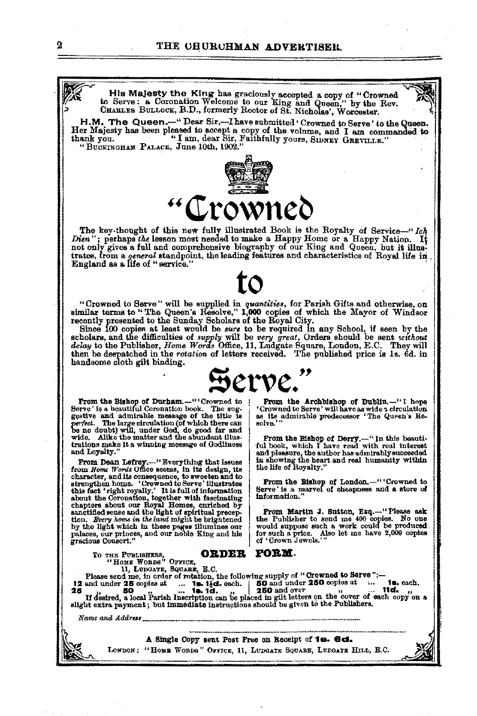#### THE CHURCHMAN ADVERTISER.



H.M. The Queen.-" Dear Sir,-I have submitted 'Crowned to Serve' to the Queen. Her Majesty has been pleased to accept a copy of the volume, and I am commanded to thank you. "I am, dear Sir, Faithfully yours, SIDNEY GREVILLE." "BUCKINGHAM PALACE, June 10th, 1902."



The key-thought of this new fully illustrated Book is the Royalty of Service-"Ich Dien"; perhaps the lesson most needed to make a Happy Home or a Happy Nation. It not only gives a full and comprehensive biography of our Ki  $It$ trates, from a general standpoint, the leading features and characteristics of Royal life in England as a life of "service."

"Crowned to Serve" will be supplied in quantities, for Parish Gifts and otherwise, on similar terms to "The Queen's Resolve," 1,000 copies of which the Mayor of Windsor

summar terms to the Sunday Scholars of the Royal City.<br>
Free this control of the Sunday Scholars of the Royal City.<br>
Since 100 copies at least would be sure to be required in any School, if seen by the<br>
scholars, and the d then be deepatched in the rotation of letters received. The published price is 1s. 6d. in handsome cloth gilt binding.



From the Bishop of Durham. "Crowned to Serve' is a beautiful Coronation book. The sug-Serve and admirable message of the title is<br>gestive and admirable message of the title is<br>being the title is<br>being the message of the title is<br>wide, while, under God, do good far and<br>wide, Alike the matter and the abundant trations make it a winning message of Godliness and Loyalty.

from *Home Words* Units consequence, to sweeten and to<br>character, and its consequence, to sweeten and to<br>strengthen home. Cowmed to Serve's illustrates<br>this fact 'right royally.' It is full of information<br>about the Coronat by the light which in these pages illumines our palaces, our princes, and our noble King and his gracious Consort."

TO THE PUBLISHERS, VENCE,

From the Archbishop of Dublin.-"'I hope Crowned to Serve' will have as wide a circulation<br>as its admirable predecessor 'The Queen's Reas its admirable predecessor 'The Queen's Resolve.

From the Bishop of Derry.-"In this beauti-<br>ful book, which I have read with real interest and pleasure, the author has admirably succeeded<br>in showing the heart and real humanity within<br>the life of Royalty."

From the Bishop of London.-""Crowned to Serve' is a marvel of cheapness and a store of information.

From Martin J. Sutton, Esq.-"Please ask<br>the Publisher to send me 400 copies. No one The matrice of solid and the state of the produced for such a price. Also let me have 2,000 copies of 'Grown Jewels.'"



These send me, in order of rotation, the following supply of "Crowned to Serve"<br>Please send me, in order of rotation, the following supply of "Crowned to Serve"<br>and and analytic send and and and reduced to the send in the 12 and under 25 copies at 1. 12. 14d. each. 25<br>25 copies at 1. 12. 14d. each. 25<br>16 and under 250 and over 1900 and the copies at 1. 14. 14d. 25<br>16 and under 250 copies at 1. 14d. 1. 15. 14d. 25<br>17 desired, a local Parish Name and Address ................................. A Single Copy sent Post Free on Receipt of 18. 6d. LONDON: "HOME WORDS" OFFICE, 11, LUDGATE SQUARE, LUDGATE HILL, E.C.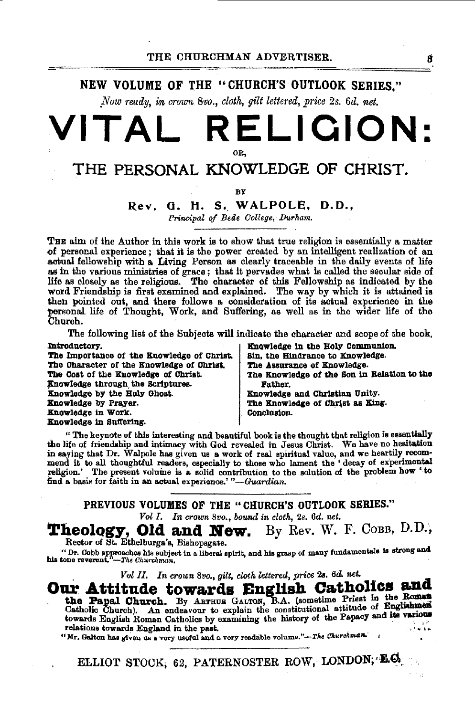NEW VOLUME OF THE "CHURCH'S OUTLOOK SERIES."

*Now ready, in crown 8vo., cloth, gilt lettered, price 2s. 6d. net.* 

# **VITAL RELIQION:**  OR,

# THE PERSONAL KNOWLEDGE OF CHRIST.

**BY** 

### Rev. G. H. S. WALPOLE, D.D.,

*Principal of Bede College, Durham.* 

THE aim of the Author in this work is to show that true religion is essentially a matter of personal experience; that it is the power created by an intelligent realization of an of personal experience; that it is the power created by an intelligent realization of an<br>actual fellowship with a Living Person as clearly traceable in the daily events of life<br>as in the various ministries of grace; that i life as closely as the religious. The character of this Fellowship as indicated by the word Friendship is first examined and explained. The way by which it is attained is then pointed out, and there follows a consideration of its actual experience in the personal life of Thought, Work, and Suffering, as well as in the wider life of the Church.

The following list of the Subjects will indicate the character and scope of the book.<br>Introductory<br> $\frac{1}{2}$  Encyclodes in the Ealy Communion. Introductory. B':nowledge in the Holy CommUDlon.

|                                            | THOMAGO IN MIO HOTA COMMUNICATIONS          |
|--------------------------------------------|---------------------------------------------|
| The Importance of the Knowledge of Christ. | Sin. the Hindrance to Knowledge.            |
| The Character of the Knowledge of Christ.  | The Assurance of Knowledge.                 |
| The Cost of the Knowledge of Christ.       | The Knowledge of the Son in Relation to the |
| Knowledge through the Scriptures.          | <b>Father.</b>                              |
| Knowledge by the Holy Ghost.               | Knowledge and Christian Unity.              |
| Knowledge by Prayer.                       | The Knowledge of Christ as King.            |
| Knowledge in Work.                         | Conclusion.                                 |
| Knowledge in Suffering.                    |                                             |
|                                            |                                             |

" The keynote of this interesting and beautiful book is the thought that religion is essentially the life of friendship and intimacy with God revealed in Jesus Christ. We have no hesitation in saying that Dr. Walpole has given us a work of real spiritual value, and we heartily recommend it to all thoughtful readers, especially to those who lament the 'decay of experimental religion.' The present volume is a solid contribution to the solution of the problem how ' to find a basis for faith in an actual experience.' "-Guardian.

PREVIOUS VOLUMES OF THE •• CHURCH'S. OUTLOOK SERIES."

Vol I. In crown 8vo., bound in cloth, 2s. 6d. net.

**Theology, Old and New.** By *Rev.* W. F. CoBB, D.D., Rector of St. Ethelburga's, Bishopsgate.

" Dr. Cobb approaches his subject in a liberal spirit, and his grasp of many fundamentals is strong and his tone reverent."—*The Churchman*,

Vol II, In crown 8vo., gilt, cloth lettered, price 2s. 6d. net.<br>**Our Attitude towards English Catholics and** Our Attitude towards English Catholics and the Papal church. By Assembly Catholics and Catholic Church. By Asruna Gatrow, B.A. (sometime Priest in the Roman Catholic Church). An endeavour to explain the constitutional atti towards English Roman Catholics by examining the history of the Papacy and its various relations towards England in the past.

"Mr. Galton has given us a very useful and a very readable volume."-The Churchman.

ELLIOT STOCK; 62; PATERNOSTER ROW, LONDON; 'LO.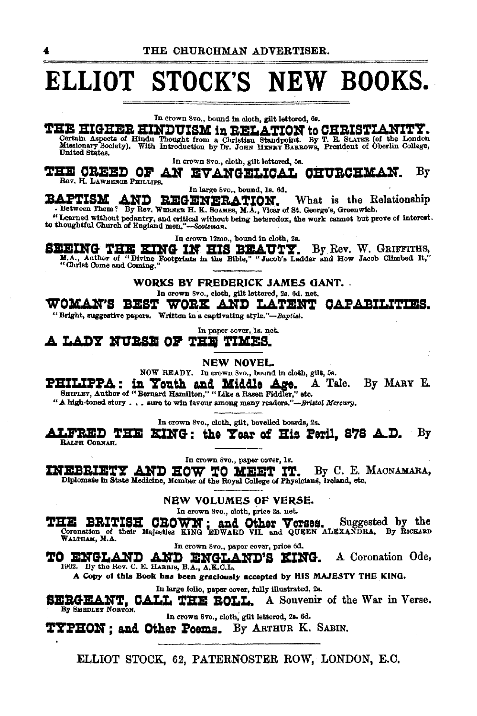# **ELLIOT STOCK'S NEW BOOKS.**

In crown 8vo., bound in cloth, gilt lettered, 6s.

THE HIGHER HINDUISM in RELATION to CHRISTIANITY.<br>Certain Aspects of Hindu Thought from a Christian Standpoint. By T. E. SLATER (of the London Missionary Booster). With Introduction by Dr. JORN HENRY BARROWS, President of O

In crown 8vo., cloth, gilt lettered, 5s.

~BZ **OBZZ:C O:tr AN ZV AHGZLIO.A.L OBUBOB:K.Alf.**  Bev. H. LAWRENCE PHILLIPS. By

In large svo., bound, Is. 6d.

**3LAPTISM AND REGENERATION.** What is the Relationship • Between Them? By Rev, WERNER H. K. Soames, *M.J., Vicar of St. George's, Greenwich.* 

"Learned without pedantry, and critical without being heterodox, the work cannot but prove of interest.<br>to thoughtful Church of England men."--Scotsman.

In crown 12mo., bound in cloth, 2s.

**SEEING THE EING IN HIS BEAUTY.** By Rev. W. GRIFFITHS, M.A., Author of "Divine Footprints in the Bible," "Jacob's Ladder and How Jacob Climbed It," "Christ Come and Coming." "

WORKS BY FREDERICK JAMES GANT. In crown Svo., cloth, gilt lettered, 2s. 6d. net.

WOMAN'S BEST WORK AND LATENT CAPABILITIES.

"Bright, suggestive papers. Written in a captivating style."-Baptist.

In paper cover, ls. net.

**.A LA.:D'!' HV:asz OJ' 'l'Q 'l'IKZS.** 

NEW NOVEL

NOW READY. In crown Svo., bound in cloth, gilt, 5s.

**PHILIPPA: in Youth and Middle Age.** A Tale. By MARY E. SHIPLEY, Author of "Bernard Hamilton," "Like a Rasen Fiddler," etc.

" A high-toned story . . . sure to win favour among many readers."-Bristol Mercury.

In crown Svo., cloth, gilt, bevelled boards, 2s.

**ALFRED THE KING: the Year of His Peril, 878 A.D.** By  $\frac{B_{MPH}}{B_{MPH}}$  CORNAR.

In crown 8vo., paper cover, ls.

INEBRIETY AND HOW TO MEET IT. By C. E. MACNAMARA, Diplomate in State Medicine, Member of the Royal College of Physicians, Ireland, etc.

NEW VOLUMES OF VERSE.

In crown 8vo., cloth, price 2s. net.

THE BRITISH CROWN; and Other Verses. Suggested by the Coronation of their Majesties KING EDWARD VII. and QUEEN ALEXANDRA. By RICHARD WALTHAM, M.A.

In crown Svo., paper cover, price 6d.

**TO ENGLAND AND ENGLAND'S KING.** A Coronation Ode, 1902. By the Rev. C. E. HARBIS, B.A., A,E.O.L.

A Copy of this Book has been graciously accepted by HIS MAJESTY THE KING.

In large folio, paper cover, fully IDustrsted, 2s.

In large tolto, paper cover, fully illustrated, 2s.<br>
By SMEDLEY NORTON.<br>
By SMEDLEY NORTON.

In crown Svo., cloth; gilt lettered, 2s. 6d.

~BON **; a.nd Other !oems.** By ARTHUR K. SABIN.

ELLIOT STOCK, 62, PATERNOSTER ROW, LONDON, E.C.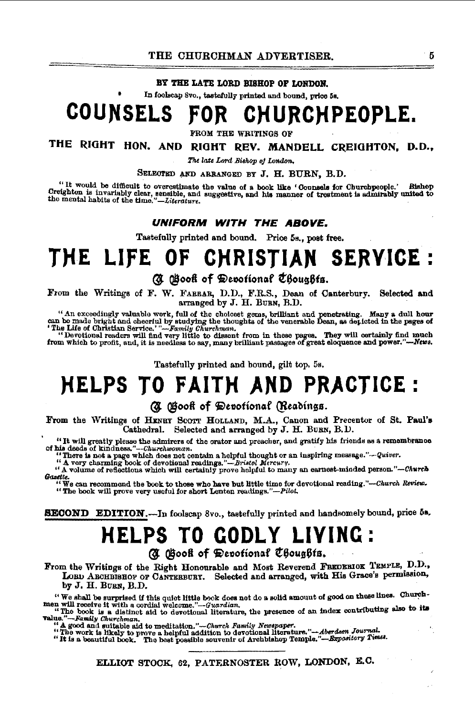#### BY THE LATE LORD RISHOP OF LONDON.

In foolscap 8vo., tastefully printed and bound, price 5s.

### **COUNSELS** CHURCHPEOPLE.

**FROM THE WRITINGS OF** 

## THE RIGHT HON. AND RIGHT REV. MANDELL CREIGHTON, D.D.,

The late Lord Bishop of London.

SELECTED AND ARRANGED BY J. H. BURN, B.D.

"It would be difficult to overestimate the value of a book like 'Connector for Churchpeople.' Bishop Creighton is invariably clear, sensible, and suggestive, and his manner of treatment is admirably united to the mental h

#### UNIFORM WITH THE ABOVE.

Tastefully printed and bound. Price 5s., post free.

### THE LIFE OF **CHRISTIAN SERVICE:**

### C Gooff of Devotional Choughts.

From the Writings of F. W. FABBAR, D.D., F.R.S., Dean of Canterbury. Selected and arranged by J. H. BURN, B.D.

"An exceedingly valuable work, full of the choicest gems, brilliant and penetrating. Many a dull hour can be made bright and cheerful by studying the thoughts of the venerable Dean, as depicted in the pages of "The Life o

Tastefully printed and bound, gilt top. 5s.

# **HELPS TO FAITH AND PRACTICE:**

#### A Gook of Devotional (Readings.

From the Writings of HENRY SCOTT HOLLAND, M.A., Canon and Precentor of St. Paul's Cathedral. Selected and arranged by J. H. BURN, B.D.

"It will greatly please the admirers of the orator and preacher, and gratify his friends as a remembrance of his deeds of kindness."--Churchwoman.<br>"There is not a page which does not contain a helpful thought or an inspir

" A very charming book of devotional readings."-Bristol Mercury.

" A volume of reflections which will certainly prove helpful to many an earnest-minded person."-Church

Gasetic.<br>"We can recommend the book to those who have but little time for devotional reading."-Church Review. "The book will prove very useful for short Lenten readings."-Pilot.

SECOND EDITION.--In foolscap 8vo., tastefully printed and handsomely bound, price 5s.

# **HELPS TO GODLY LIVING:**

A Book of Depotional Choughts.

From the Writings of the Right Honourable and Most Reverend FREDERIOK TEMPLE, D.D., LORD ARCHBISHOP OF CANTERBURY. Selected and arranged, with His Grace's permission, by J. H. BURN, B.D.

"We shall be surprised if this quiet little book does not do a solid amount of good on these lines. Church-<br>men will receive it with a cordial welcome."-Guardian.

"The book is a distinct aid to devotional literature, the presence of an index contributing also to its value."-Family Churchman.<br>"A good and suitable aid to meditation."-

-Church Family Newspaper.

a government sure one for medication."—charge researchy orcespayer.<br>"The work is likely to prove a helpful addition to devotional literature."—*Aberdaen Journal*.<br>"It is a beautiful book. The best possible souvenir of Arch

ELLIOT STOCK, 62, PATERNOSTER ROW, LONDON, E.C.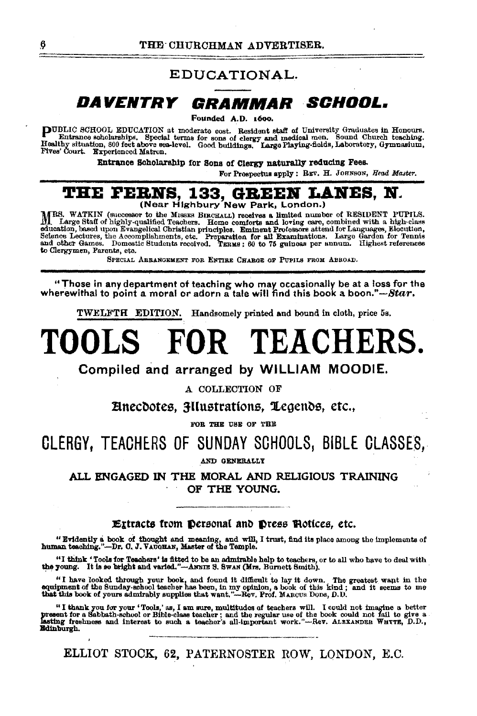### EDUCATIONAL.

# DAVENTRY GRAMMAR SCHOOL.

Pounded A.D. 100o.

**PUBLIC SCHOOL EDUCATION** at moderate cost. Resident staff of University Graduates in Honours.<br>
Entrance scholarships, Special terms for sons of clergy and medical men. Sound Church teaching.<br>
Healthy situation, 800 feet a

Entrance Scholarship for Sons of Clergy naturally reducing Fees.

For Prospectus apply: REV. H. JOHNSON, *Head Master*.

# **THE FERNS, 133, GREEN LANES, N.**<br>
(Near Highbury New Park, London.)

MRS. WATKIN (successor to the MISSES BIRCHALL) receives a limited number of RESIDENT PUPILS.<br>IL Large Staff of highly-qualified Teachers. Home comforts and loving care, combined with a high-class<br>education, based upon Ewan to Clergymen, Parents, etc.

SPECIAL ARRANGEMENT FOR ENTIRE CHARGE OF PUPILS FROM ABBOAD.

"Those in any department ot teaching who may occasionally be at a loss for the wherewithal to point a moral or adorn a tale will find this book a boon."-*Star*.

TWELFTH EDITION. Handsomely printed and bound in cloth, price 5s.

# **TOOLS FOR TEACHERS.**

Compiled and arranged by WILLIAM MOODIE.

A COLLECTION OF

 $\Xi$ necdotes,  $\Xi$ llustrations,  $\Xi$ egends, etc.,  $\overline{\phantom{a}}^{FOR}$ 

## CLERGY, TEACHERS OF SUNDAY SCHOOLS, BIBLE CLASSES,

.AND GENEBALLY

ALL ENGAGED IN THE MORAL AND RELIGIOUS TRAINING OF THE YOUNG.

#### Extracts from Personal and Press Plotices, etc.

"Evidently a book of thought and meaning, and will, I trust, find its place among the implements of human teaching."-Dr. C. J. VAUOBAN, Master of the Temple.

"I think 'Tools for Teachars' is fitted to be an admirable help to teachers, or to all who have to deal with the young. It is so bright and varied."-Ammus S. Swan (Mrs. Burnett Smith).

"I have looked through your book, and found it difficult to lay it down. The greatest want in the equipment of the Sunday-school teacher has been, in my opinion, a book of this kind; and it seems to me that this book of y

"I thank you for your 'Tools,' as, I am sure, multitudes of teachers will. I could not imagine a better<br>present for a Sabbath-school or Bible-olass teacher; and the regular use of the book could not fail to give a<br>lasting Bdlnburgh.

ELLIOT STOCK, 62, PATERNOSTER ROW, LONDON, E.C.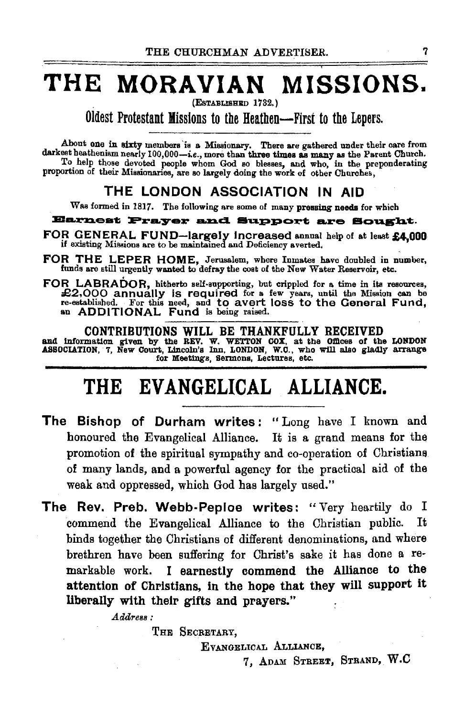# THE MORAVIAN MISSIONS.

(Established 1732,)

Oldest Protestant Missions to the Heathen-First to the Lepers.

About one in sixty members is a Missionary. There are gathered under their care from darkest heatheniam nearly 100,000-i.e., more than three times as many as the Parent Church. To help those devoted people whom God so blesses, and who, in the preponderating proportion of their Missionaries, are so largely doing the work of other Churohes,

## THE LONDON ASSOCIATION IN AID

Was formed in 1817. The following are some of many pressing needs for which

Earnest Prayer and Support are Sought.

- FOR GENERAL FUND-largely increased annual help of at least £4,000 if existing Missions are to be maintained and Deficiency averted.
- FOR THE LEPER HOME, Jerusalem, where Inmates have doubled in number, funds are still urgently wanted to defray the cost of the New Water Reservoir, etc.
- FOR LABRADOR, hitherto self-supporting, but crippled for a time in its resources, £2,000 annually is required for a few years, until the Mission can be re-established. For this need, and to avert loss to the General Fund, an ADDITIONAL Fund is being raised.

CONTRIBUTIONS WILL BE THANKFULLY RECEIVED<br>and information given by the REV. W. WETTON COX, at the Offices of the LONDON<br>ASSOCIATION, 7, New Court, Lincoln's Inn, LONDON, W.C., who will also gladly arrange for Meetings, Sermons, Lectures, etc.

# THE EVANGELICAL ALLIANCE.

- The Bishop of Durham writes: "Long have I known and honoured the Evangelical Alliance. It is a grand means for the promotion of the spiritual sympathy and co-operation of Christians of many lands, and a powerful agency for the practical aid of the weak and oppressed, which God has largely used."
- The Rev. Preb. Webb-Peploe writes: "Very heartily do I commend the Evangelical Alliance to the Christian public. It binds together the Christians of different denominations, and where brethren have been suffering for Christ's sake it has done a remarkable work. I earnestly commend the Alliance to the attention of Christians, tn the hope that they will support it liberally with their gifts and prayers."

 $A$ *ddress:* 

THE SECRETARY,

EVANGELICAL ALLIANCE,

7, ADAM STREET, STRAND, W.C.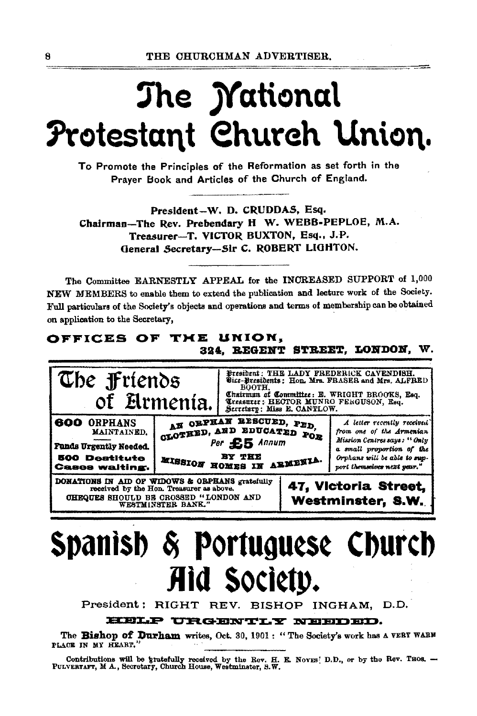# The *Mational* Protestant Church Union.

To Promote the Principles of the Reformation as set forth in the Prayer Book and Articles of the Church of England.

President-W. D. CRUDDAS, Esq. Chairman-The Rev. Prebendary H W. WEBB-PEPLOE, M.A. Treasurer-T. VICTOR BUXTON, Esq., J.P. General Secretary-Sir C. ROBERT LIGHTON.

The Committee EARNESTLY APPEAL for the INCREASED SUPPORT of 1,000 NEW MEMBERS to enable them to extend the publication and lecture work of the Society. Full particulars of the Society's objects and operations and terms of membership can be obtained on application to the Secretary,

### OFFICES OF THE UNION, 324. REGENT STREET, LONDON, W.



# Spanish & Portuguese Church Aid Society.

President: RIGHT REV. BISHOP INGHAM, D.D.

#### HELP URGENTLY NEEDED.

The Bishop of Durham writes, Oct. 30, 1901: "The Society's work has a VERT WARM PLACE IN MY HEART."

Contributions will be gratefully received by the Rev. H. E. Noves; D.D., or by the Rev. Thos. --<br>PULVERTAFT, M A., Secretary, Church House, Westminster, S.W.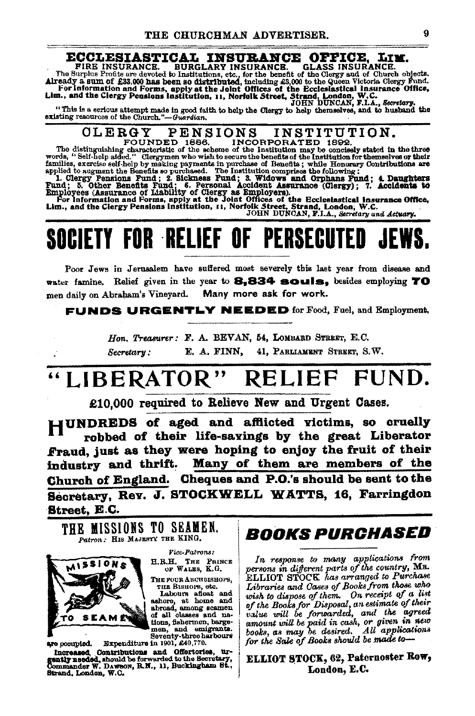#### ECCLESIASTICAL INSURANCE OFFICE, LIM.

**GLASS INSURANCE.** FIRE INSURANCE. BURGLARY INSURANCE. GLASS INSURANCE.<br>The Surplus Profits are devoted to Institutions, etc., for the benefit of the Glergy and of Church objects.<br>Already a sum of £33,000 has been so distributed, including £

"This is a serious attempt made in good faith to help the Clergy to help themselves, and to husband the existing resources of the Church."-Guardian.

# INSTITUTION.

CLERRGY PENSIONS INSTINGIITLUM.<br>
FOUNDED 1886. INCORPORATED 1892.<br>
The distinguishing characteristic of the scheme of the Institution may be concisely stated in the three<br>
words, "Self-help aided." Clergymen who wish to se

## **SOCIETY FOR RELIEF OF** PERSECUTED

Poor Jews in Jerusalem have suffered most severely this last year from disease and water famine. Relief given in the year to 8.834 souls. besides employing 70 men daily on Abraham's Vineyard. Many more ask for work.

**FUNDS URGENTLY NEEDED** for Food, Fuel, and Employment,

Hon. Treasurer: F. A. BEVAN. 54, LOMBARD STREET, E.C. Secretary: E. A. FINN, 41, PARLIAMENT STREET, S.W.

# LIBERATOR" RELIEF FUND.

£10,000 required to Relieve New and Urgent Cases.

**HUNDREDS** of aged and afflicted victims, so cruelly robbed of their life-savings by the great Liberator Fraud, just as they were hoping to enjoy the fruit of their industry and thrift. Many of them are members of the Church of England. Cheques and P.O.'s should be sent to the Secretary, Rev. J. STOCKWELL WATTS, 16, Farringdon Street, E.C.

THE MISSIONS TO SEAMEN. Patron: HIS MAJESTY THE KING.



Vice-Patrons: H.R.H. THE PRINCE OF WALES, K.G. THE FOUR ARCHBISHOPS, тни Винора, etc.

Labours afloat and<br>ashore, at home and abroad, among seamen tions, fishermen, bargemen, and emigrants.<br>Seventy-three harbours

Expenditure in 1901, £40,770. are occupied. Increased Contributions and Offertories, urgently needed, should be forwarded to the Secretary, Commander W. Dawson, R.N., 11, Buckingham St., Strand, London, W.C.

# *BOOKS PURCHASED*

In response to many applications from persons in different parts of the country, MR.<br>ELLIOT STOCK has arranged to Purchase Libraries and Cases of Books from those who wish to dispose of them. On receipt of a list<br>of the Books for Disposal, an estimate of their value will be forwarded, and the agreed amount will be paid in cash, or given in new All applications books, as may be desired. All applicat<br>for the Sale of Books should be made to-

### ELLIOT STOCK, 62, Paternoster Row, London, E.C.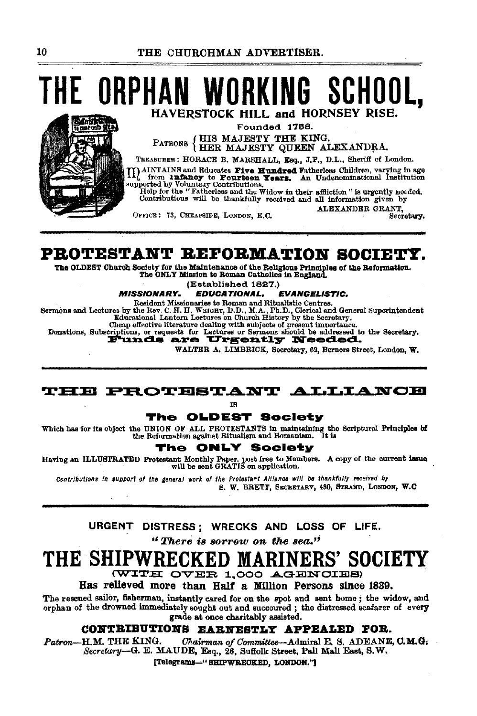# E ORPHAN 'ORKING SCHOOL. HAVERSTOCK HILL and HORNSEY RISE.

Founded 1768.

PATRONS {HIS MAJESTY THE KING.<br>HER MAJESTY QUEEN ALEXANDRA.

TREASURER: HORACE B. MARSHALL, Esq., J.P., D.L., Sheriff of London.

MAINTAINS and Educates Five Hundred Fatherless Children, varying in age of from **luminos** to Fourteen Years. An Undenominational Institution supported by Voluntary Contributions.

Field for the "Fatherless and the Widow in their affliction" is urgently needed.<br>Contributious will be thankfully received and all information given by ALEXANDER GRANT,

Secretary.

OFFICE: 73. CHEAPSIDE, LONDON, E.C.

PROTESTANT REFORMATION SOCIETY.

The OLDEST Church Society for the Maintenance of the Religious Principles of the Reformation. The ONLY Mission to Roman Catholics in England

(Established 1827.)

**MISSIONARY. EDUCATIONAL. EVANGELISTIC.** 

Resident Missionaries to Roman and Ritualistic Centres. Sermons and Lectures by the Rev. C. H. H. WEIGHT, D.D., M.A., Ph.D., Clerical and General Superintendent Educational Lantern Lectures on Church History by the Secretary.

Cheap effective literature dealing with subjects of present importance. Donations, Subscriptions, or requests for Letures or Sermons should be addressed to the Secretary.

WALTER A. LIMBRICK, Secretary, 62, Berners Street, London, W.

### **THE PROTESTANT ALLIANCE**

IB.

The OLDEST Society

Which has for its object the UNION OF ALL PROTESTANTS in maintaining the Scriptural Principles of the Beformation against Ritualism and Romanism. It is

#### **ONLY Society** The

Having an ILLUSTRATED Protestant Monthly Paper, post free to Members. A copy of the current issue<br>will be sent GRATIS on application.

Contributions in support of the general work of the Protestant Alliance will be thankfully received by S. W. BRETT, SECRETARY, 430, STRAND, LONDON, W.C.

URGENT DISTRESS; WRECKS AND LOSS OF LIFE.

"There is sorrow on the sea."

#### THE SHIPV s' society

(WITH OVER 1,000 AGENCIES)

Has relieved more than Half a Million Persons since 1839.

The rescued sailor, fisherman, instantly cared for on the spot and sent home; the widow, and orphan of the drowned immediately sought out and succoured; the distressed seafarer of every grade at once charitably assisted.

### CONTRIBUTIONS EARNESTLY APPEALED FOR.

Patron-H.M. THE KING. Chairman of Committee-Admiral E. S. ADEANE, C.M.G. Secretary-G. E. MAUDE, Esq., 26, Suffolk Street, Pall Mall East, S.W.

[Telegrams-"SHIPWREOKED, LONDON."]

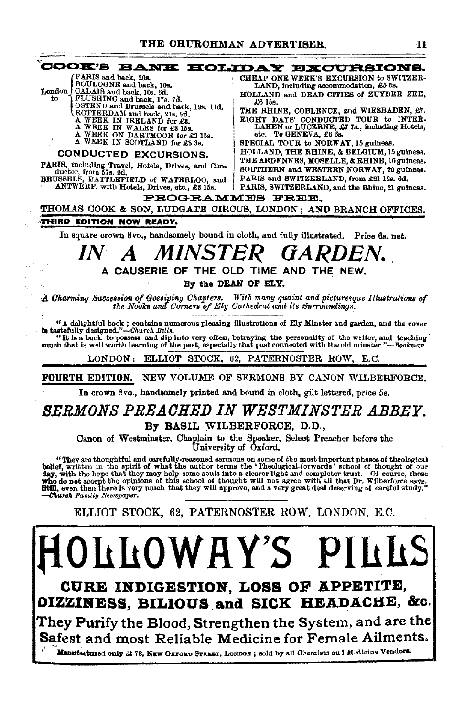

CURE INDIGESTION, LOSS OF APPETITE, OIZZINESS, BILIOUS and SICK HEADACHE, &c.

They Purify the Blood, Strengthen the System, and are the Safest and most Reliable Medicine for Female Ailments.

Manufactured only 2t 78, NEW OXFORD STREET, LONDON; sold by all Chemists and Medicine Vendors.